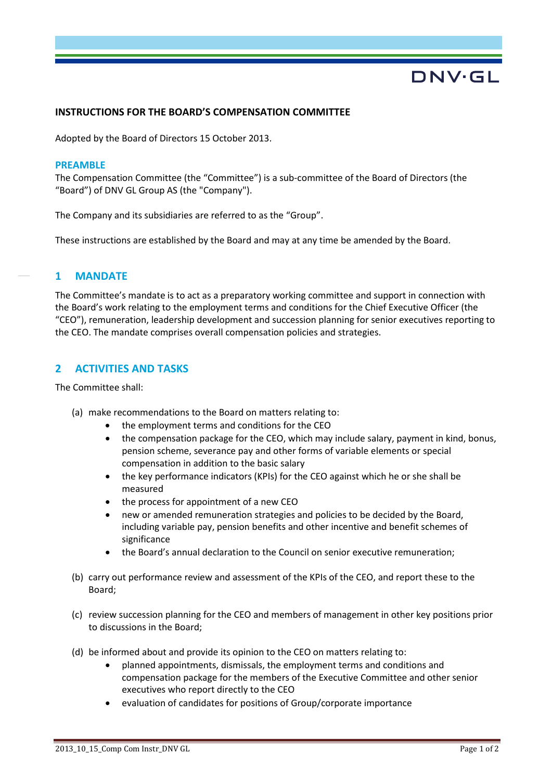# DNV·GL

#### **INSTRUCTIONS FOR THE BOARD'S COMPENSATION COMMITTEE**

Adopted by the Board of Directors 15 October 2013.

#### **PREAMBLE**

The Compensation Committee (the "Committee") is a sub-committee of the Board of Directors (the "Board") of DNV GL Group AS (the "Company").

The Company and its subsidiaries are referred to as the "Group".

These instructions are established by the Board and may at any time be amended by the Board.

## **1 MANDATE**

The Committee's mandate is to act as a preparatory working committee and support in connection with the Board's work relating to the employment terms and conditions for the Chief Executive Officer (the "CEO"), remuneration, leadership development and succession planning for senior executives reporting to the CEO. The mandate comprises overall compensation policies and strategies.

## **2 ACTIVITIES AND TASKS**

The Committee shall:

- (a) make recommendations to the Board on matters relating to:
	- the employment terms and conditions for the CEO
	- the compensation package for the CEO, which may include salary, payment in kind, bonus, pension scheme, severance pay and other forms of variable elements or special compensation in addition to the basic salary
	- the key performance indicators (KPIs) for the CEO against which he or she shall be measured
	- the process for appointment of a new CEO
	- new or amended remuneration strategies and policies to be decided by the Board, including variable pay, pension benefits and other incentive and benefit schemes of significance
	- the Board's annual declaration to the Council on senior executive remuneration;
- (b) carry out performance review and assessment of the KPIs of the CEO, and report these to the Board;
- (c) review succession planning for the CEO and members of management in other key positions prior to discussions in the Board;
- (d) be informed about and provide its opinion to the CEO on matters relating to:
	- planned appointments, dismissals, the employment terms and conditions and compensation package for the members of the Executive Committee and other senior executives who report directly to the CEO
	- evaluation of candidates for positions of Group/corporate importance